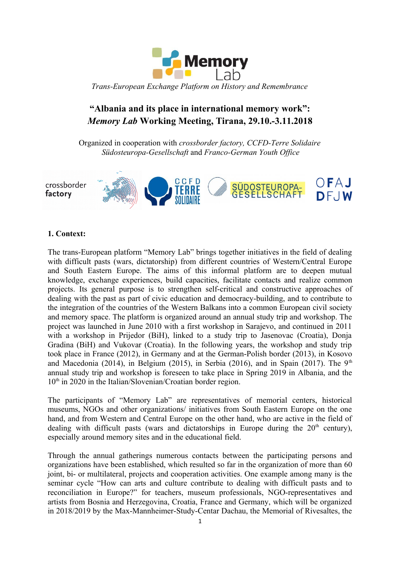

# **"Albania and its place in international memory work":** *Memory Lab* **Working Meeting, Tirana, 29.10.-3.11.2018**

Organized in cooperation with *crossborder factory, CCFD-Terre Solidaire Südosteuropa-Gesellschaft* and *Franco-German Youth Office*



#### **1. Context:**

The trans-European platform "Memory Lab" brings together initiatives in the field of dealing with difficult pasts (wars, dictatorship) from different countries of Western/Central Europe and South Eastern Europe. The aims of this informal platform are to deepen mutual knowledge, exchange experiences, build capacities, facilitate contacts and realize common projects. Its general purpose is to strengthen self-critical and constructive approaches of dealing with the past as part of civic education and democracy-building, and to contribute to the integration of the countries of the Western Balkans into a common European civil society and memory space. The platform is organized around an annual study trip and workshop. The project was launched in June 2010 with a first workshop in Sarajevo, and continued in 2011 with a workshop in Prijedor (BiH), linked to a study trip to Jasenovac (Croatia), Donja Gradina (BiH) and Vukovar (Croatia). In the following years, the workshop and study trip took place in France (2012), in Germany and at the German-Polish border (2013), in Kosovo and Macedonia (2014), in Belgium (2015), in Serbia (2016), and in Spain (2017). The  $9<sup>th</sup>$ annual study trip and workshop is foreseen to take place in Spring 2019 in Albania, and the 10<sup>th</sup> in 2020 in the Italian/Slovenian/Croatian border region.

The participants of "Memory Lab" are representatives of memorial centers, historical museums, NGOs and other organizations/ initiatives from South Eastern Europe on the one hand, and from Western and Central Europe on the other hand, who are active in the field of dealing with difficult pasts (wars and dictatorships in Europe during the  $20<sup>th</sup>$  century), especially around memory sites and in the educational field.

Through the annual gatherings numerous contacts between the participating persons and organizations have been established, which resulted so far in the organization of more than 60 joint, bi- or multilateral, projects and cooperation activities. One example among many is the seminar cycle "How can arts and culture contribute to dealing with difficult pasts and to reconciliation in Europe?" for teachers, museum professionals, NGO-representatives and artists from Bosnia and Herzegovina, Croatia, France and Germany, which will be organized in 2018/2019 by the Max-Mannheimer-Study-Centar Dachau, the Memorial of Rivesaltes, the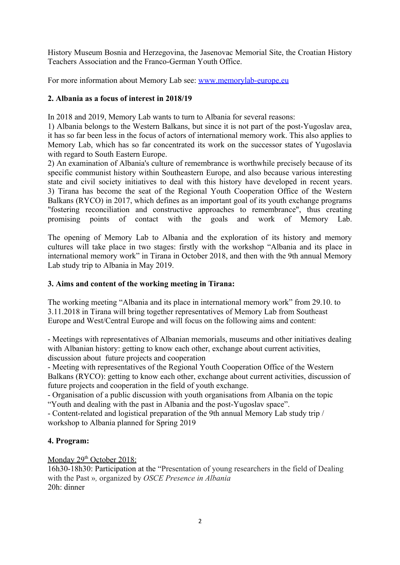History Museum Bosnia and Herzegovina, the Jasenovac Memorial Site, the Croatian History Teachers Association and the Franco-German Youth Office.

For more information about Memory Lab see: [www.memorylab-europe.eu](http://www.memorylab-europe.eu/)

### **2. Albania as a focus of interest in 2018/19**

In 2018 and 2019, Memory Lab wants to turn to Albania for several reasons:

1) Albania belongs to the Western Balkans, but since it is not part of the post-Yugoslav area, it has so far been less in the focus of actors of international memory work. This also applies to Memory Lab, which has so far concentrated its work on the successor states of Yugoslavia with regard to South Eastern Europe.

2) An examination of Albania's culture of remembrance is worthwhile precisely because of its specific communist history within Southeastern Europe, and also because various interesting state and civil society initiatives to deal with this history have developed in recent years. 3) Tirana has become the seat of the Regional Youth Cooperation Office of the Western Balkans (RYCO) in 2017, which defines as an important goal of its youth exchange programs "fostering reconciliation and constructive approaches to remembrance", thus creating promising points of contact with the goals and work of Memory Lab.

The opening of Memory Lab to Albania and the exploration of its history and memory cultures will take place in two stages: firstly with the workshop "Albania and its place in international memory work" in Tirana in October 2018, and then with the 9th annual Memory Lab study trip to Albania in May 2019.

### **3. Aims and content of the working meeting in Tirana:**

The working meeting "Albania and its place in international memory work" from 29.10. to 3.11.2018 in Tirana will bring together representatives of Memory Lab from Southeast Europe and West/Central Europe and will focus on the following aims and content:

- Meetings with representatives of Albanian memorials, museums and other initiatives dealing with Albanian history: getting to know each other, exchange about current activities, discussion about future projects and cooperation

- Meeting with representatives of the Regional Youth Cooperation Office of the Western Balkans (RYCO): getting to know each other, exchange about current activities, discussion of future projects and cooperation in the field of youth exchange.

- Organisation of a public discussion with youth organisations from Albania on the topic "Youth and dealing with the past in Albania and the post-Yugoslav space".

- Content-related and logistical preparation of the 9th annual Memory Lab study trip / workshop to Albania planned for Spring 2019

### **4. Program:**

Monday 29<sup>th</sup> October 2018:

16h30-18h30: Participation at the "Presentation of young researchers in the field of Dealing with the Past »*,* organized by *OSCE Presence in Albania* 20h: dinner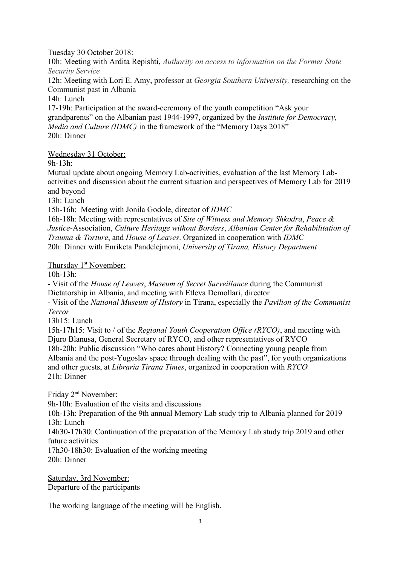#### Tuesday 30 October 2018:

10h: Meeting with Ardita Repishti, *Authority on access to information on the Former State Security Service*

12h: Meeting with Lori E. Amy, professor at *Georgia Southern University,* researching on the Communist past in Albania

14h: Lunch

17-19h: Participation at the award-ceremony of the youth competition "Ask your grandparents" on the Albanian past 1944-1997, organized by the *Institute for Democracy, Media and Culture (IDMC)* in the framework of the "Memory Days 2018" 20h: Dinner

Wednesday 31 October:

9h-13h:

Mutual update about ongoing Memory Lab-activities, evaluation of the last Memory Labactivities and discussion about the current situation and perspectives of Memory Lab for 2019 and beyond

13h: Lunch

15h-16h: Meeting with Jonila Godole, director of *IDMC*

16h-18h: Meeting with representatives of *Site of Witness and Memory Shkodra*, *Peace & Justice*-Association, *Culture Heritage without Borders*, *Albanian Center for Rehabilitation of Trauma & Torture*, and *House of Leaves*. Organized in cooperation with *IDMC* 20h: Dinner with Enriketa Pandelejmoni, *University of Tirana, History Department*

Thursday 1<sup>st</sup> November:

10h-13h:

- Visit of the *House of Leaves*, *Museum of Secret Surveillance* during the Communist Dictatorship in Albania, and meeting with Etleva Demollari, director

- Visit of the *National Museum of History* in Tirana, especially the *Pavilion of the Communist Terror* 

13h15: Lunch

15h-17h15: Visit to / of the *Regional Youth Cooperation Office (RYCO)*, and meeting with Djuro Blanusa, General Secretary of RYCO, and other representatives of RYCO 18h-20h: Public discussion "Who cares about History? Connecting young people from Albania and the post-Yugoslav space through dealing with the past", for youth organizations and other guests, at *Libraria Tirana Times*, organized in cooperation with *RYCO* 21h: Dinner

Friday 2<sup>nd</sup> November:

9h-10h: Evaluation of the visits and discussions

10h-13h: Preparation of the 9th annual Memory Lab study trip to Albania planned for 2019 13h: Lunch

14h30-17h30: Continuation of the preparation of the Memory Lab study trip 2019 and other future activities

17h30-18h30: Evaluation of the working meeting 20h: Dinner

Saturday, 3rd November: Departure of the participants

The working language of the meeting will be English.